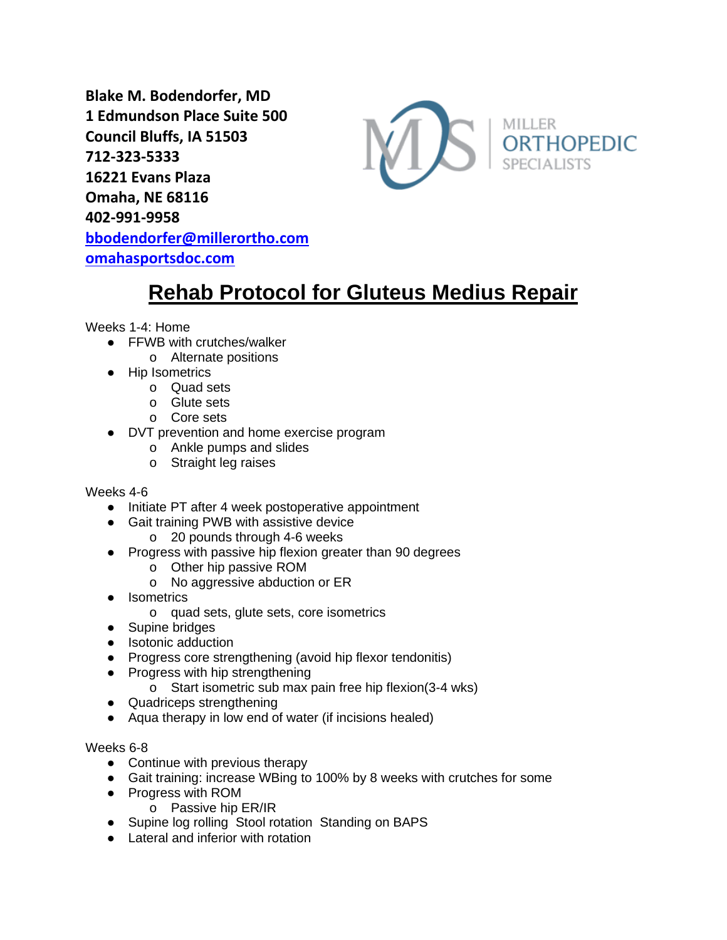**Blake M. Bodendorfer, MD 1 Edmundson Place Suite 500 Council Bluffs, IA 51503 712-323-5333 16221 Evans Plaza Omaha, NE 68116 402-991-9958 [bbodendorfer@millerortho.com](mailto:bbodendorfer@millerortho.com) [omahasportsdoc.com](http://www.omahasportsdoc.com/)**



# **Rehab Protocol for Gluteus Medius Repair**

Weeks 1-4: Home

- FFWB with crutches/walker
	- o Alternate positions
- Hip Isometrics
	- o Quad sets
	- o Glute sets
	- o Core sets
- DVT prevention and home exercise program
	- o Ankle pumps and slides
	- o Straight leg raises

Weeks 4-6

- Initiate PT after 4 week postoperative appointment
- Gait training PWB with assistive device
	- o 20 pounds through 4-6 weeks
- Progress with passive hip flexion greater than 90 degrees
	- o Other hip passive ROM
	- o No aggressive abduction or ER
- Isometrics
	- o quad sets, glute sets, core isometrics
- Supine bridges
- Isotonic adduction
- Progress core strengthening (avoid hip flexor tendonitis)
- Progress with hip strengthening
	- o Start isometric sub max pain free hip flexion(3-4 wks)
- Quadriceps strengthening
- Aqua therapy in low end of water (if incisions healed)

Weeks 6-8

- Continue with previous therapy
- Gait training: increase WBing to 100% by 8 weeks with crutches for some
- Progress with ROM
	- o Passive hip ER/IR
- Supine log rolling Stool rotation Standing on BAPS
- Lateral and inferior with rotation